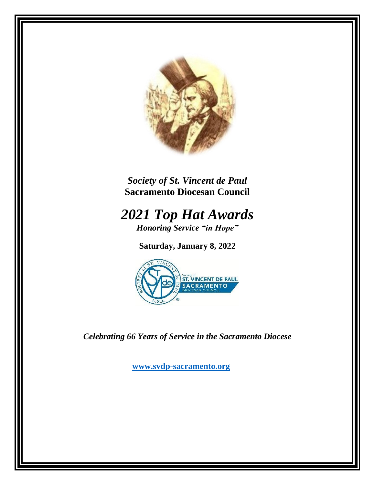

*Society of St. Vincent de Paul* **Sacramento Diocesan Council**

*2021 Top Hat Awards Honoring Service "in Hope"*

**Saturday, January 8, 2022**



*Celebrating 66 Years of Service in the Sacramento Diocese*

**[www.svdp-sacramento.org](http://www.svdp-sacramento.org/)**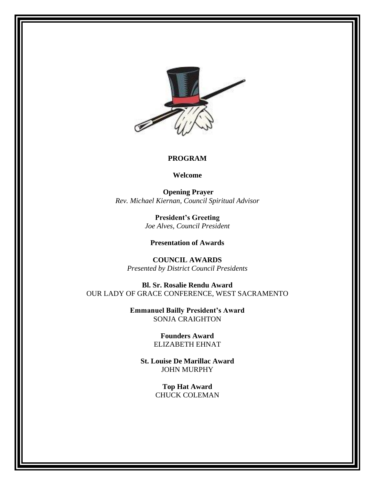

#### **PROGRAM**

**Welcome**

**Opening Prayer** *Rev. Michael Kiernan, Council Spiritual Advisor*

> **President's Greeting** *Joe Alves, Council President*

**Presentation of Awards**

**COUNCIL AWARDS** *Presented by District Council Presidents*

**Bl. Sr. Rosalie Rendu Award** OUR LADY OF GRACE CONFERENCE, WEST SACRAMENTO

> **Emmanuel Bailly President's Award** SONJA CRAIGHTON

> > **Founders Award** ELIZABETH EHNAT

**St. Louise De Marillac Award** JOHN MURPHY

> **Top Hat Award** CHUCK COLEMAN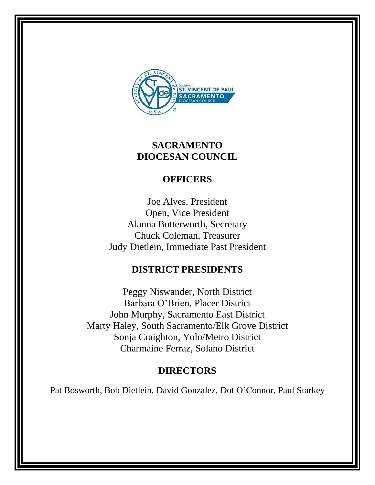

## **SACRAMENTO DIOCESAN COUNCIL**

# **OFFICERS**

Joe Alves, President Open, Vice President Alanna Butterworth, Secretary Chuck Coleman, Treasurer Judy Dietlein, Immediate Past President

### **DISTRICT PRESIDENTS**

Peggy Niswander, North District Barbara O'Brien, Placer District John Murphy, Sacramento East District Marty Haley, South Sacramento/Elk Grove District Sonja Craighton, Yolo/Metro District Charmaine Ferraz, Solano District

# **DIRECTORS**

Pat Bosworth, Bob Dietlein, David Gonzalez, Dot O'Connor, Paul Starkey